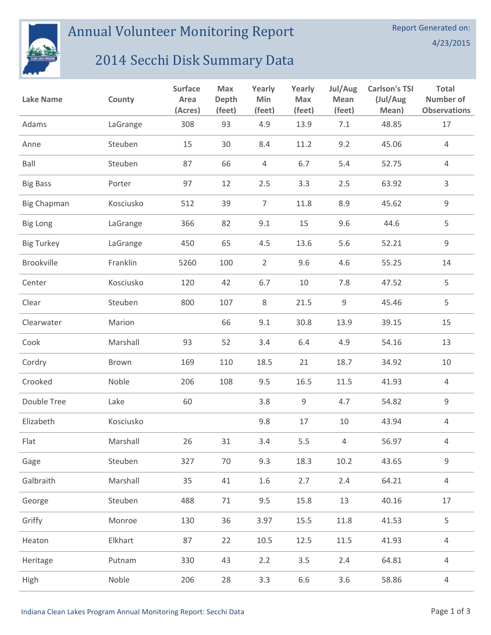

## Annual Volunteer Monitoring Report

## 2014 Secchi Disk Summary Data

| <b>Lake Name</b>   | County    | <b>Surface</b><br>Area<br>(Acres) | Max<br>Depth<br>(feet) | Yearly<br>Min<br>(feet) | Yearly<br><b>Max</b><br>(feet) | Jul/Aug<br>Mean<br>(feet) | <b>Carlson's TSI</b><br>(Jul/Aug<br>Mean) | <b>Total</b><br><b>Number of</b><br><b>Observations</b> |
|--------------------|-----------|-----------------------------------|------------------------|-------------------------|--------------------------------|---------------------------|-------------------------------------------|---------------------------------------------------------|
| Adams              | LaGrange  | 308                               | 93                     | 4.9                     | 13.9                           | 7.1                       | 48.85                                     | 17                                                      |
| Anne               | Steuben   | 15                                | 30                     | 8.4                     | 11.2                           | 9.2                       | 45.06                                     | $\overline{4}$                                          |
| Ball               | Steuben   | 87                                | 66                     | $\overline{4}$          | 6.7                            | 5.4                       | 52.75                                     | $\overline{4}$                                          |
| <b>Big Bass</b>    | Porter    | 97                                | 12                     | 2.5                     | 3.3                            | 2.5                       | 63.92                                     | $\mathsf{3}$                                            |
| <b>Big Chapman</b> | Kosciusko | 512                               | 39                     | $\overline{7}$          | 11.8                           | 8.9                       | 45.62                                     | 9                                                       |
| <b>Big Long</b>    | LaGrange  | 366                               | 82                     | 9.1                     | 15                             | 9.6                       | 44.6                                      | 5                                                       |
| <b>Big Turkey</b>  | LaGrange  | 450                               | 65                     | 4.5                     | 13.6                           | 5.6                       | 52.21                                     | 9                                                       |
| Brookville         | Franklin  | 5260                              | 100                    | $\overline{2}$          | 9.6                            | 4.6                       | 55.25                                     | 14                                                      |
| Center             | Kosciusko | 120                               | 42                     | 6.7                     | 10                             | 7.8                       | 47.52                                     | 5                                                       |
| Clear              | Steuben   | 800                               | 107                    | $\,8\,$                 | 21.5                           | 9                         | 45.46                                     | 5                                                       |
| Clearwater         | Marion    |                                   | 66                     | 9.1                     | 30.8                           | 13.9                      | 39.15                                     | 15                                                      |
| Cook               | Marshall  | 93                                | 52                     | 3.4                     | 6.4                            | 4.9                       | 54.16                                     | 13                                                      |
| Cordry             | Brown     | 169                               | 110                    | 18.5                    | 21                             | 18.7                      | 34.92                                     | 10                                                      |
| Crooked            | Noble     | 206                               | 108                    | 9.5                     | 16.5                           | 11.5                      | 41.93                                     | $\overline{4}$                                          |
| Double Tree        | Lake      | 60                                |                        | 3.8                     | 9                              | 4.7                       | 54.82                                     | 9                                                       |
| Elizabeth          | Kosciusko |                                   |                        | 9.8                     | 17                             | 10                        | 43.94                                     | $\overline{4}$                                          |
| Flat               | Marshall  | 26                                | 31                     | 3.4                     | 5.5                            | $\overline{4}$            | 56.97                                     | 4                                                       |
| Gage               | Steuben   | 327                               | 70                     | 9.3                     | 18.3                           | $10.2\,$                  | 43.65                                     | 9                                                       |
| Galbraith          | Marshall  | 35                                | 41                     | 1.6                     | 2.7                            | 2.4                       | 64.21                                     | 4                                                       |
| George             | Steuben   | 488                               | 71                     | 9.5                     | 15.8                           | 13                        | 40.16                                     | 17                                                      |
| Griffy             | Monroe    | 130                               | 36                     | 3.97                    | 15.5                           | 11.8                      | 41.53                                     | 5                                                       |
| Heaton             | Elkhart   | 87                                | 22                     | $10.5\,$                | 12.5                           | $11.5\,$                  | 41.93                                     | $\overline{4}$                                          |
| Heritage           | Putnam    | 330                               | 43                     | 2.2                     | 3.5                            | 2.4                       | 64.81                                     | $\overline{4}$                                          |
| High               | Noble     | 206                               | 28                     | 3.3                     | 6.6                            | 3.6                       | 58.86                                     | $\overline{4}$                                          |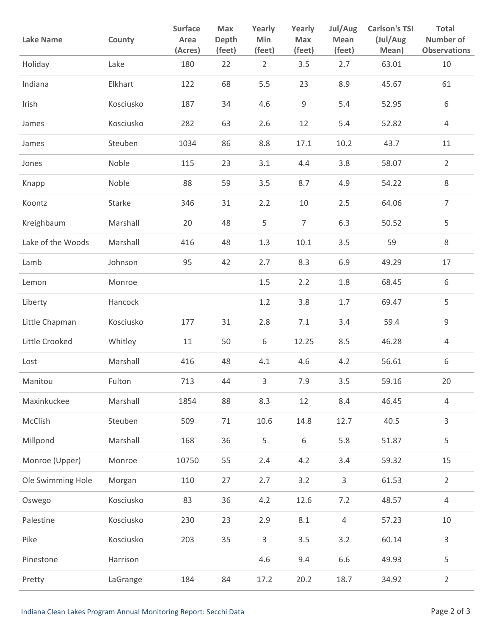| <b>Lake Name</b>  | County    | <b>Surface</b><br>Area<br>(Acres) | Max<br>Depth<br>(feet) | Yearly<br>Min<br>(feet) | Yearly<br>Max<br>(feet) | Jul/Aug<br>Mean<br>(feet) | <b>Carlson's TSI</b><br>(Jul/Aug<br>Mean) | <b>Total</b><br><b>Number of</b><br><b>Observations</b> |
|-------------------|-----------|-----------------------------------|------------------------|-------------------------|-------------------------|---------------------------|-------------------------------------------|---------------------------------------------------------|
| Holiday           | Lake      | 180                               | 22                     | $\overline{2}$          | 3.5                     | 2.7                       | 63.01                                     | 10                                                      |
| Indiana           | Elkhart   | 122                               | 68                     | 5.5                     | 23                      | 8.9                       | 45.67                                     | 61                                                      |
| Irish             | Kosciusko | 187                               | 34                     | 4.6                     | 9                       | 5.4                       | 52.95                                     | 6                                                       |
| James             | Kosciusko | 282                               | 63                     | 2.6                     | 12                      | 5.4                       | 52.82                                     | $\overline{4}$                                          |
| James             | Steuben   | 1034                              | 86                     | 8.8                     | 17.1                    | 10.2                      | 43.7                                      | 11                                                      |
| Jones             | Noble     | 115                               | 23                     | 3.1                     | 4.4                     | 3.8                       | 58.07                                     | $\overline{2}$                                          |
| Knapp             | Noble     | 88                                | 59                     | 3.5                     | 8.7                     | 4.9                       | 54.22                                     | $\,8\,$                                                 |
| Koontz            | Starke    | 346                               | 31                     | 2.2                     | 10                      | 2.5                       | 64.06                                     | $\overline{7}$                                          |
| Kreighbaum        | Marshall  | 20                                | 48                     | 5                       | $\overline{7}$          | 6.3                       | 50.52                                     | 5                                                       |
| Lake of the Woods | Marshall  | 416                               | 48                     | 1.3                     | 10.1                    | 3.5                       | 59                                        | $\,8\,$                                                 |
| Lamb              | Johnson   | 95                                | 42                     | 2.7                     | 8.3                     | 6.9                       | 49.29                                     | 17                                                      |
| Lemon             | Monroe    |                                   |                        | $1.5\,$                 | 2.2                     | 1.8                       | 68.45                                     | 6                                                       |
| Liberty           | Hancock   |                                   |                        | 1.2                     | 3.8                     | 1.7                       | 69.47                                     | 5                                                       |
| Little Chapman    | Kosciusko | 177                               | 31                     | 2.8                     | 7.1                     | 3.4                       | 59.4                                      | $\mathsf g$                                             |
| Little Crooked    | Whitley   | 11                                | 50                     | 6                       | 12.25                   | 8.5                       | 46.28                                     | $\overline{4}$                                          |
| Lost              | Marshall  | 416                               | 48                     | 4.1                     | 4.6                     | 4.2                       | 56.61                                     | 6                                                       |
| Manitou           | Fulton    | 713                               | 44                     | 3                       | 7.9                     | 3.5                       | 59.16                                     | 20                                                      |
| Maxinkuckee       | Marshall  | 1854                              | 88                     | 8.3                     | 12                      | 8.4                       | 46.45                                     | $\sqrt{4}$                                              |
| McClish           | Steuben   | 509                               | 71                     | 10.6                    | 14.8                    | 12.7                      | 40.5                                      | 3                                                       |
| Millpond          | Marshall  | 168                               | 36                     | 5                       | $\,6\,$                 | 5.8                       | 51.87                                     | 5                                                       |
| Monroe (Upper)    | Monroe    | 10750                             | 55                     | 2.4                     | 4.2                     | 3.4                       | 59.32                                     | 15                                                      |
| Ole Swimming Hole | Morgan    | 110                               | 27                     | 2.7                     | 3.2                     | $\mathsf{3}$              | 61.53                                     | $\overline{2}$                                          |
| Oswego            | Kosciusko | 83                                | 36                     | 4.2                     | 12.6                    | 7.2                       | 48.57                                     | $\overline{4}$                                          |
| Palestine         | Kosciusko | 230                               | 23                     | 2.9                     | 8.1                     | $\overline{4}$            | 57.23                                     | 10                                                      |
| Pike              | Kosciusko | 203                               | 35                     | $\mathsf{3}$            | 3.5                     | 3.2                       | 60.14                                     | 3                                                       |
| Pinestone         | Harrison  |                                   |                        | 4.6                     | 9.4                     | 6.6                       | 49.93                                     | 5                                                       |
| Pretty            | LaGrange  | 184                               | 84                     | 17.2                    | 20.2                    | 18.7                      | 34.92                                     | $\overline{2}$                                          |